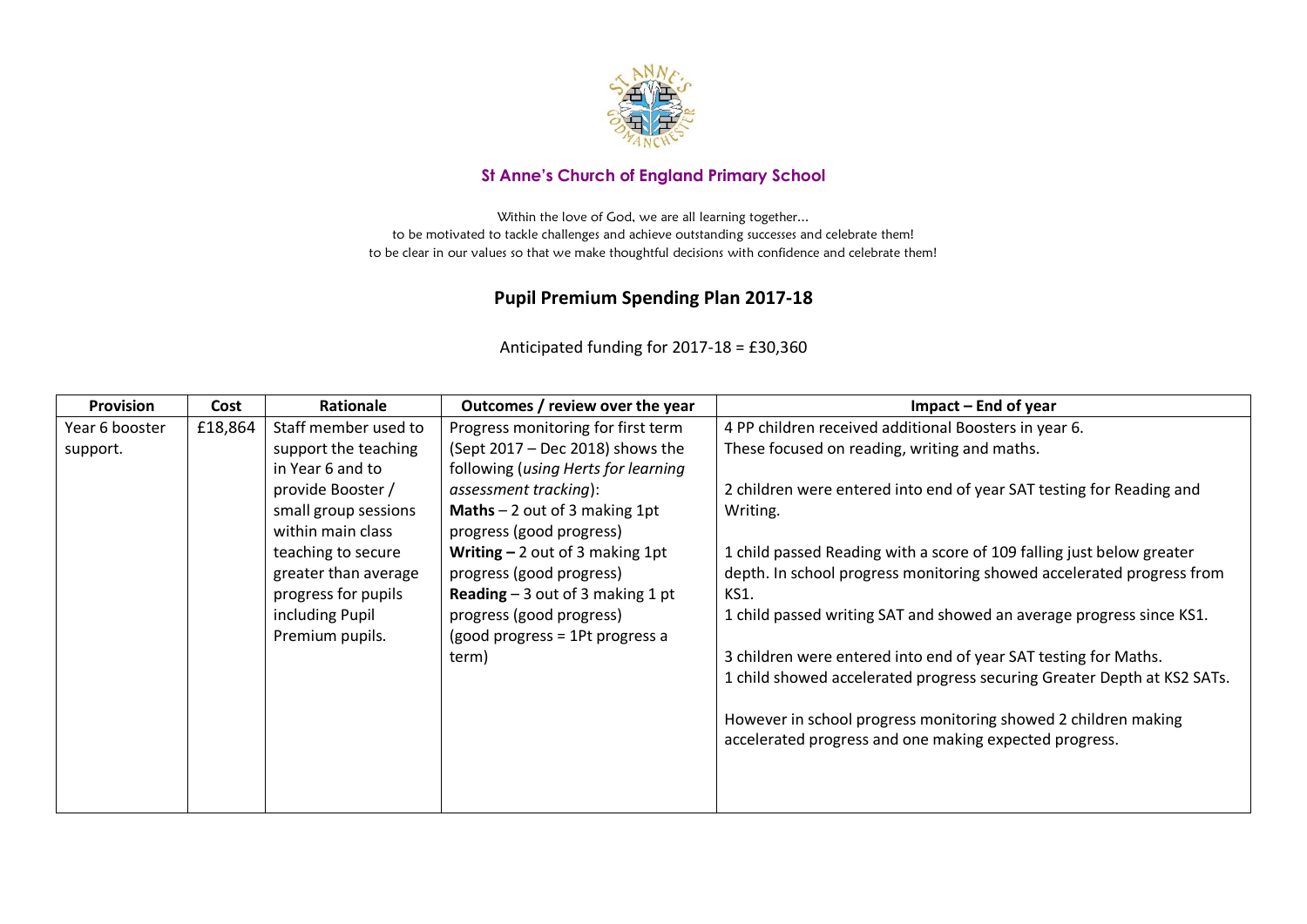

## **St Anne's Church of England Primary School**

Within the love of God, we are all learning together... to be motivated to tackle challenges and achieve outstanding successes and celebrate them! to be clear in our values so that we make thoughtful decisions with confidence and celebrate them!

## **Pupil Premium Spending Plan 2017-18**

Anticipated funding for 2017-18 = £30,360

| <b>Provision</b> | Cost    | Rationale            | Outcomes / review over the year          | Impact – End of year                                                    |
|------------------|---------|----------------------|------------------------------------------|-------------------------------------------------------------------------|
| Year 6 booster   | £18,864 | Staff member used to | Progress monitoring for first term       | 4 PP children received additional Boosters in year 6.                   |
| support.         |         | support the teaching | (Sept 2017 – Dec 2018) shows the         | These focused on reading, writing and maths.                            |
|                  |         | in Year 6 and to     | following (using Herts for learning      |                                                                         |
|                  |         | provide Booster /    | assessment tracking):                    | 2 children were entered into end of year SAT testing for Reading and    |
|                  |         | small group sessions | <b>Maths</b> $-2$ out of 3 making 1pt    | Writing.                                                                |
|                  |         | within main class    | progress (good progress)                 |                                                                         |
|                  |         | teaching to secure   | Writing $-2$ out of 3 making 1pt         | 1 child passed Reading with a score of 109 falling just below greater   |
|                  |         | greater than average | progress (good progress)                 | depth. In school progress monitoring showed accelerated progress from   |
|                  |         | progress for pupils  | <b>Reading</b> $-3$ out of 3 making 1 pt | KS1.                                                                    |
|                  |         | including Pupil      | progress (good progress)                 | 1 child passed writing SAT and showed an average progress since KS1.    |
|                  |         | Premium pupils.      | (good progress = 1Pt progress a          |                                                                         |
|                  |         |                      | term)                                    | 3 children were entered into end of year SAT testing for Maths.         |
|                  |         |                      |                                          | 1 child showed accelerated progress securing Greater Depth at KS2 SATs. |
|                  |         |                      |                                          |                                                                         |
|                  |         |                      |                                          | However in school progress monitoring showed 2 children making          |
|                  |         |                      |                                          | accelerated progress and one making expected progress.                  |
|                  |         |                      |                                          |                                                                         |
|                  |         |                      |                                          |                                                                         |
|                  |         |                      |                                          |                                                                         |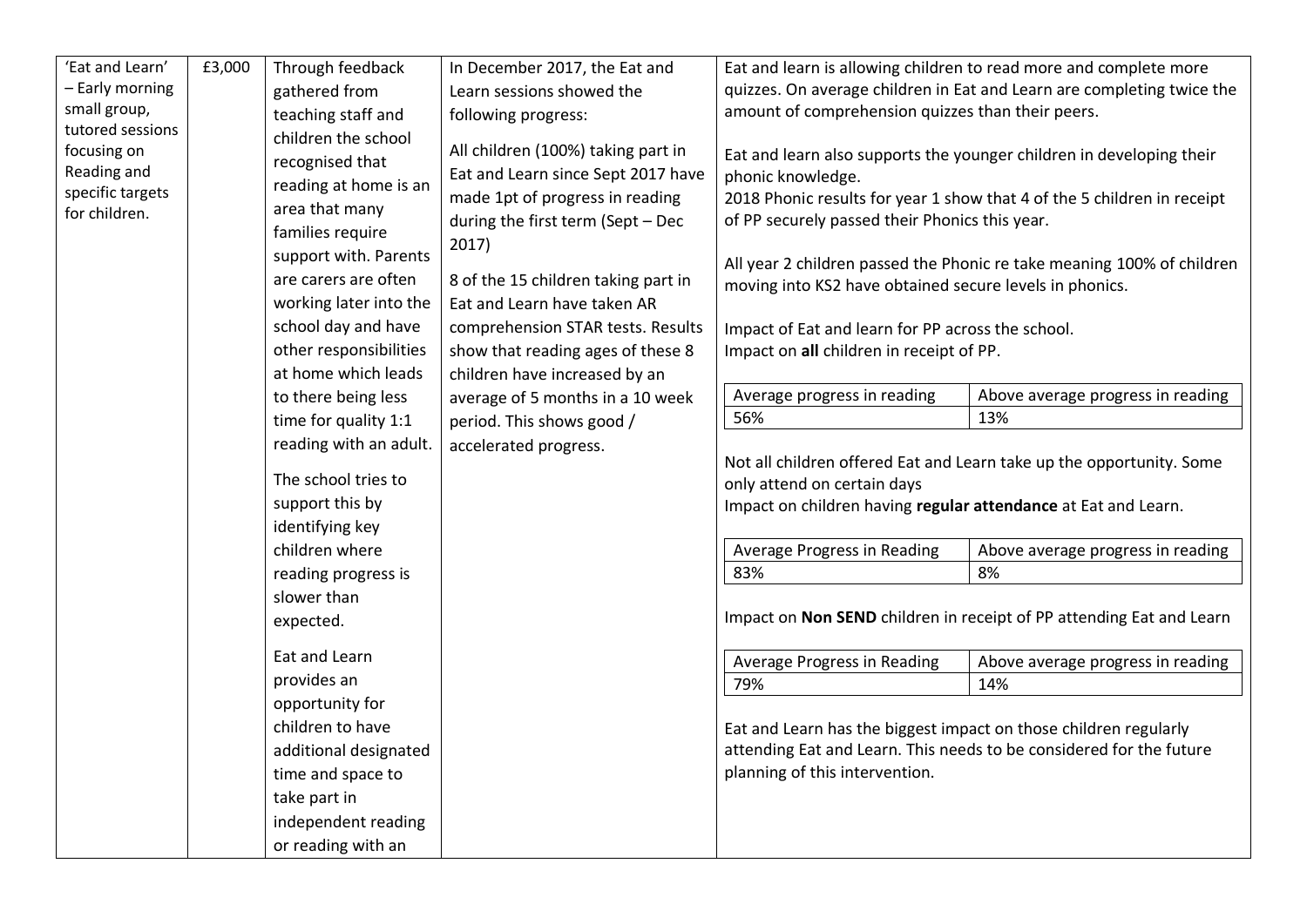| 'Eat and Learn'                                                                                     | £3,000 | Through feedback                                                                                                                                                                                                                                                                                                                                                                                                                                                                                                                           | In December 2017, the Eat and                                                                                                                                                                                                                                                                                                                                                                                                        |                                                                                                                                                                                                                                                                                                                                                                                                                                                                                                                        | Eat and learn is allowing children to read more and complete more                                                                                                                                                                                                                                                                                                                                                                                                                                            |
|-----------------------------------------------------------------------------------------------------|--------|--------------------------------------------------------------------------------------------------------------------------------------------------------------------------------------------------------------------------------------------------------------------------------------------------------------------------------------------------------------------------------------------------------------------------------------------------------------------------------------------------------------------------------------------|--------------------------------------------------------------------------------------------------------------------------------------------------------------------------------------------------------------------------------------------------------------------------------------------------------------------------------------------------------------------------------------------------------------------------------------|------------------------------------------------------------------------------------------------------------------------------------------------------------------------------------------------------------------------------------------------------------------------------------------------------------------------------------------------------------------------------------------------------------------------------------------------------------------------------------------------------------------------|--------------------------------------------------------------------------------------------------------------------------------------------------------------------------------------------------------------------------------------------------------------------------------------------------------------------------------------------------------------------------------------------------------------------------------------------------------------------------------------------------------------|
| - Early morning                                                                                     |        | gathered from                                                                                                                                                                                                                                                                                                                                                                                                                                                                                                                              | Learn sessions showed the                                                                                                                                                                                                                                                                                                                                                                                                            |                                                                                                                                                                                                                                                                                                                                                                                                                                                                                                                        | quizzes. On average children in Eat and Learn are completing twice the                                                                                                                                                                                                                                                                                                                                                                                                                                       |
|                                                                                                     |        | teaching staff and                                                                                                                                                                                                                                                                                                                                                                                                                                                                                                                         | following progress:                                                                                                                                                                                                                                                                                                                                                                                                                  | amount of comprehension quizzes than their peers.                                                                                                                                                                                                                                                                                                                                                                                                                                                                      |                                                                                                                                                                                                                                                                                                                                                                                                                                                                                                              |
| small group,<br>tutored sessions<br>focusing on<br>Reading and<br>specific targets<br>for children. |        | children the school<br>recognised that<br>reading at home is an<br>area that many<br>families require<br>support with. Parents<br>are carers are often<br>working later into the<br>school day and have<br>other responsibilities<br>at home which leads<br>to there being less<br>time for quality 1:1<br>reading with an adult.<br>The school tries to<br>support this by<br>identifying key<br>children where<br>reading progress is<br>slower than<br>expected.<br>Eat and Learn<br>provides an<br>opportunity for<br>children to have | All children (100%) taking part in<br>Eat and Learn since Sept 2017 have<br>made 1pt of progress in reading<br>during the first term (Sept - Dec<br>2017)<br>8 of the 15 children taking part in<br>Eat and Learn have taken AR<br>comprehension STAR tests. Results<br>show that reading ages of these 8<br>children have increased by an<br>average of 5 months in a 10 week<br>period. This shows good /<br>accelerated progress. | phonic knowledge.<br>of PP securely passed their Phonics this year.<br>moving into KS2 have obtained secure levels in phonics.<br>Impact of Eat and learn for PP across the school.<br>Impact on all children in receipt of PP.<br>Average progress in reading<br>56%<br>only attend on certain days<br>Impact on children having regular attendance at Eat and Learn.<br>Average Progress in Reading<br>83%<br>Average Progress in Reading<br>79%<br>Eat and Learn has the biggest impact on those children regularly | Eat and learn also supports the younger children in developing their<br>2018 Phonic results for year 1 show that 4 of the 5 children in receipt<br>All year 2 children passed the Phonic re take meaning 100% of children<br>Above average progress in reading<br>13%<br>Not all children offered Eat and Learn take up the opportunity. Some<br>Above average progress in reading<br>8%<br>Impact on Non SEND children in receipt of PP attending Eat and Learn<br>Above average progress in reading<br>14% |
|                                                                                                     |        | additional designated                                                                                                                                                                                                                                                                                                                                                                                                                                                                                                                      |                                                                                                                                                                                                                                                                                                                                                                                                                                      |                                                                                                                                                                                                                                                                                                                                                                                                                                                                                                                        | attending Eat and Learn. This needs to be considered for the future                                                                                                                                                                                                                                                                                                                                                                                                                                          |
|                                                                                                     |        | time and space to                                                                                                                                                                                                                                                                                                                                                                                                                                                                                                                          |                                                                                                                                                                                                                                                                                                                                                                                                                                      | planning of this intervention.                                                                                                                                                                                                                                                                                                                                                                                                                                                                                         |                                                                                                                                                                                                                                                                                                                                                                                                                                                                                                              |
|                                                                                                     |        | take part in                                                                                                                                                                                                                                                                                                                                                                                                                                                                                                                               |                                                                                                                                                                                                                                                                                                                                                                                                                                      |                                                                                                                                                                                                                                                                                                                                                                                                                                                                                                                        |                                                                                                                                                                                                                                                                                                                                                                                                                                                                                                              |
|                                                                                                     |        | independent reading                                                                                                                                                                                                                                                                                                                                                                                                                                                                                                                        |                                                                                                                                                                                                                                                                                                                                                                                                                                      |                                                                                                                                                                                                                                                                                                                                                                                                                                                                                                                        |                                                                                                                                                                                                                                                                                                                                                                                                                                                                                                              |
|                                                                                                     |        | or reading with an                                                                                                                                                                                                                                                                                                                                                                                                                                                                                                                         |                                                                                                                                                                                                                                                                                                                                                                                                                                      |                                                                                                                                                                                                                                                                                                                                                                                                                                                                                                                        |                                                                                                                                                                                                                                                                                                                                                                                                                                                                                                              |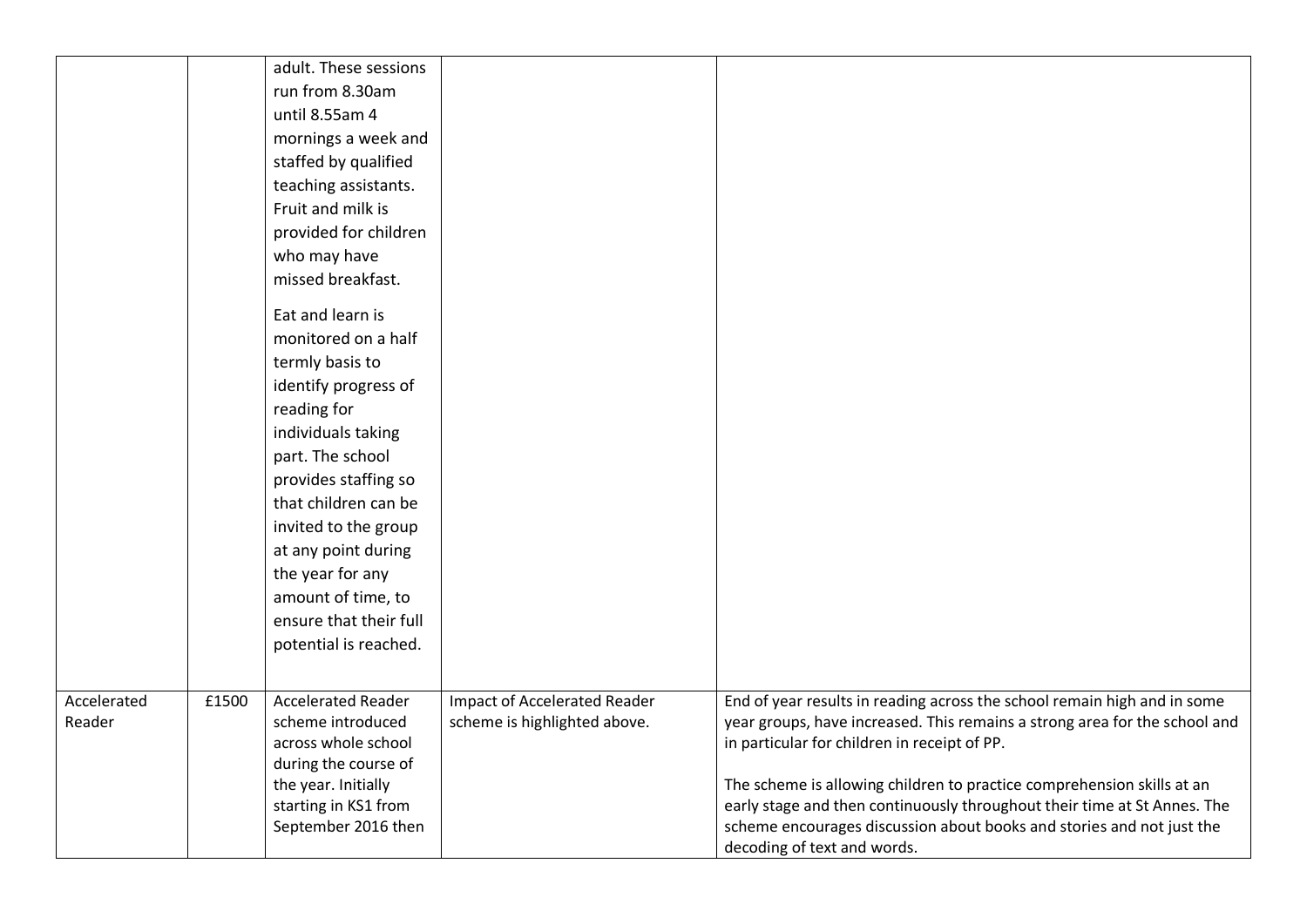|             |       | adult. These sessions     |                                     |                                                                            |
|-------------|-------|---------------------------|-------------------------------------|----------------------------------------------------------------------------|
|             |       | run from 8.30am           |                                     |                                                                            |
|             |       | until 8.55am 4            |                                     |                                                                            |
|             |       | mornings a week and       |                                     |                                                                            |
|             |       | staffed by qualified      |                                     |                                                                            |
|             |       | teaching assistants.      |                                     |                                                                            |
|             |       | Fruit and milk is         |                                     |                                                                            |
|             |       | provided for children     |                                     |                                                                            |
|             |       | who may have              |                                     |                                                                            |
|             |       | missed breakfast.         |                                     |                                                                            |
|             |       |                           |                                     |                                                                            |
|             |       | Eat and learn is          |                                     |                                                                            |
|             |       | monitored on a half       |                                     |                                                                            |
|             |       | termly basis to           |                                     |                                                                            |
|             |       | identify progress of      |                                     |                                                                            |
|             |       | reading for               |                                     |                                                                            |
|             |       | individuals taking        |                                     |                                                                            |
|             |       | part. The school          |                                     |                                                                            |
|             |       | provides staffing so      |                                     |                                                                            |
|             |       | that children can be      |                                     |                                                                            |
|             |       | invited to the group      |                                     |                                                                            |
|             |       | at any point during       |                                     |                                                                            |
|             |       | the year for any          |                                     |                                                                            |
|             |       | amount of time, to        |                                     |                                                                            |
|             |       | ensure that their full    |                                     |                                                                            |
|             |       | potential is reached.     |                                     |                                                                            |
|             |       |                           |                                     |                                                                            |
| Accelerated | £1500 | <b>Accelerated Reader</b> | <b>Impact of Accelerated Reader</b> | End of year results in reading across the school remain high and in some   |
| Reader      |       | scheme introduced         | scheme is highlighted above.        | year groups, have increased. This remains a strong area for the school and |
|             |       | across whole school       |                                     | in particular for children in receipt of PP.                               |
|             |       | during the course of      |                                     |                                                                            |
|             |       | the year. Initially       |                                     | The scheme is allowing children to practice comprehension skills at an     |
|             |       | starting in KS1 from      |                                     | early stage and then continuously throughout their time at St Annes. The   |
|             |       | September 2016 then       |                                     | scheme encourages discussion about books and stories and not just the      |
|             |       |                           |                                     | decoding of text and words.                                                |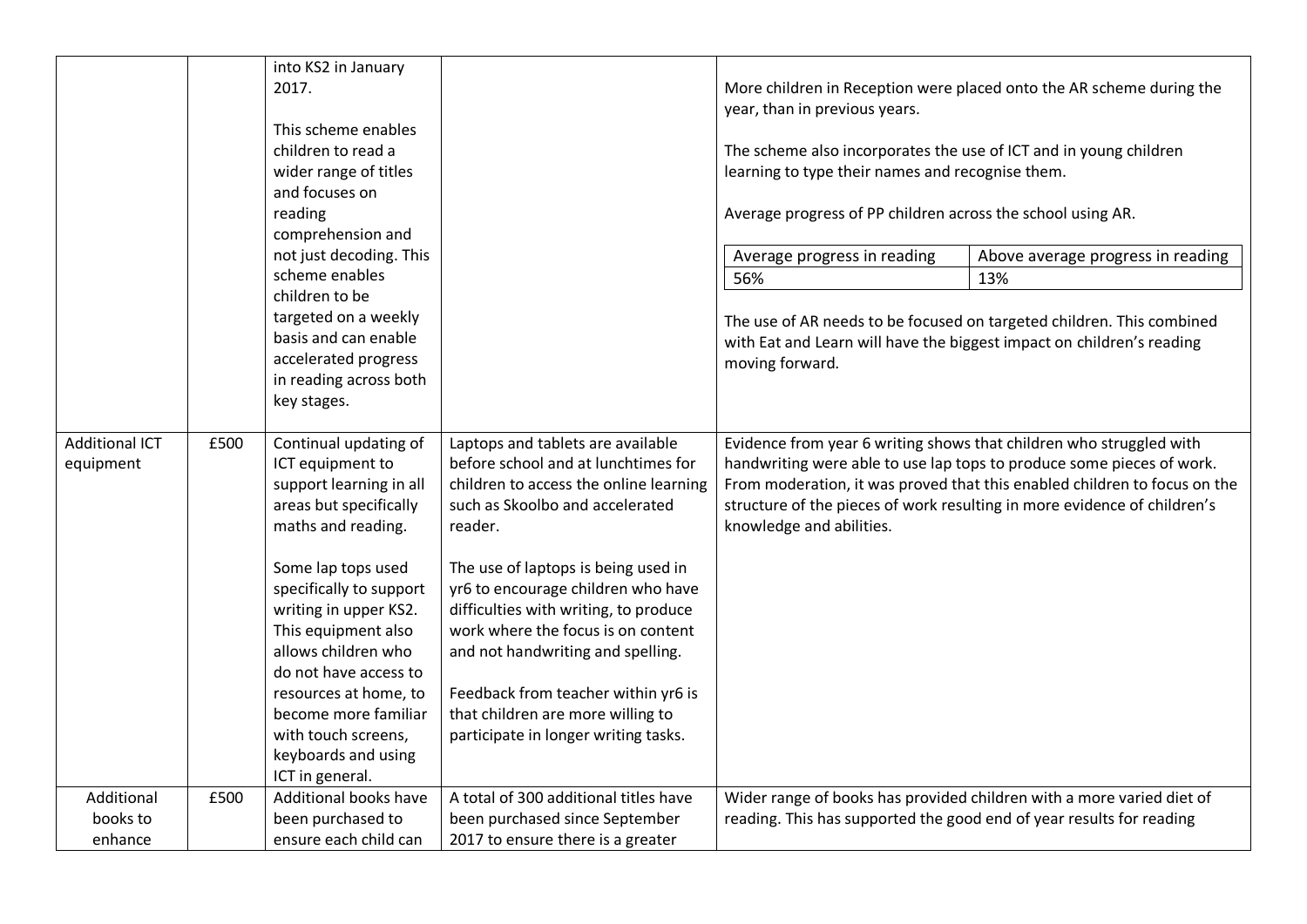|                                    |      | into KS2 in January<br>2017.<br>This scheme enables<br>children to read a<br>wider range of titles<br>and focuses on<br>reading                                                                                                                                                                                                                                                         |                                                                                                                                                                                                                                                                                                                                                                                                                                                                                       | year, than in previous years.<br>The scheme also incorporates the use of ICT and in young children<br>learning to type their names and recognise them.<br>Average progress of PP children across the school using AR. | More children in Reception were placed onto the AR scheme during the                                                                                                                                                           |
|------------------------------------|------|-----------------------------------------------------------------------------------------------------------------------------------------------------------------------------------------------------------------------------------------------------------------------------------------------------------------------------------------------------------------------------------------|---------------------------------------------------------------------------------------------------------------------------------------------------------------------------------------------------------------------------------------------------------------------------------------------------------------------------------------------------------------------------------------------------------------------------------------------------------------------------------------|-----------------------------------------------------------------------------------------------------------------------------------------------------------------------------------------------------------------------|--------------------------------------------------------------------------------------------------------------------------------------------------------------------------------------------------------------------------------|
|                                    |      | comprehension and<br>not just decoding. This<br>scheme enables<br>children to be<br>targeted on a weekly<br>basis and can enable<br>accelerated progress<br>in reading across both<br>key stages.                                                                                                                                                                                       |                                                                                                                                                                                                                                                                                                                                                                                                                                                                                       | Average progress in reading<br>56%<br>with Eat and Learn will have the biggest impact on children's reading<br>moving forward.                                                                                        | Above average progress in reading<br>13%<br>The use of AR needs to be focused on targeted children. This combined                                                                                                              |
| <b>Additional ICT</b><br>equipment | £500 | Continual updating of<br>ICT equipment to<br>support learning in all<br>areas but specifically<br>maths and reading.<br>Some lap tops used<br>specifically to support<br>writing in upper KS2.<br>This equipment also<br>allows children who<br>do not have access to<br>resources at home, to<br>become more familiar<br>with touch screens,<br>keyboards and using<br>ICT in general. | Laptops and tablets are available<br>before school and at lunchtimes for<br>children to access the online learning<br>such as Skoolbo and accelerated<br>reader.<br>The use of laptops is being used in<br>yr6 to encourage children who have<br>difficulties with writing, to produce<br>work where the focus is on content<br>and not handwriting and spelling.<br>Feedback from teacher within yr6 is<br>that children are more willing to<br>participate in longer writing tasks. | Evidence from year 6 writing shows that children who struggled with<br>knowledge and abilities.                                                                                                                       | handwriting were able to use lap tops to produce some pieces of work.<br>From moderation, it was proved that this enabled children to focus on the<br>structure of the pieces of work resulting in more evidence of children's |
| Additional<br>books to<br>enhance  | £500 | Additional books have<br>been purchased to<br>ensure each child can                                                                                                                                                                                                                                                                                                                     | A total of 300 additional titles have<br>been purchased since September<br>2017 to ensure there is a greater                                                                                                                                                                                                                                                                                                                                                                          | reading. This has supported the good end of year results for reading                                                                                                                                                  | Wider range of books has provided children with a more varied diet of                                                                                                                                                          |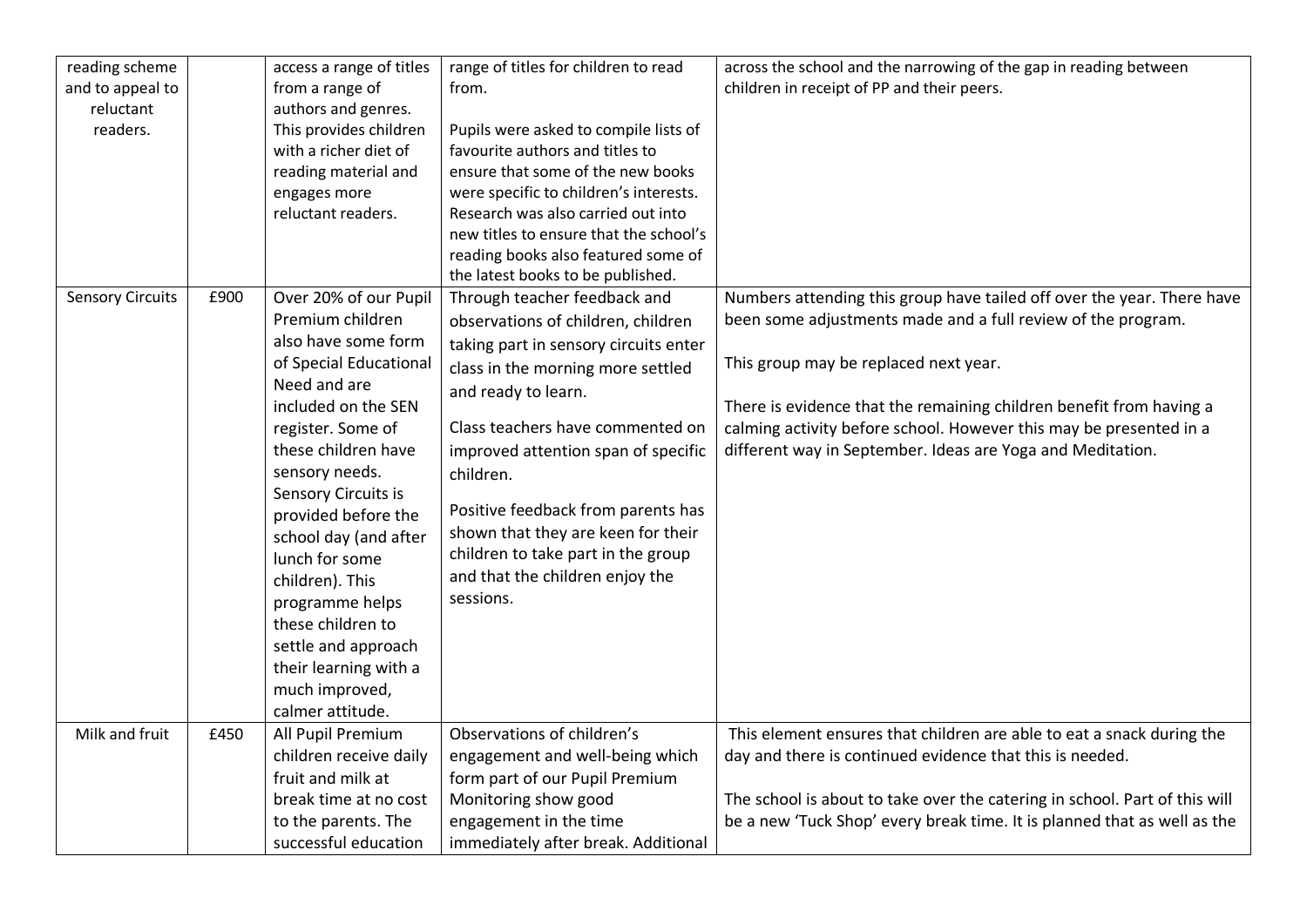| reading scheme          |      | access a range of titles | range of titles for children to read   | across the school and the narrowing of the gap in reading between          |
|-------------------------|------|--------------------------|----------------------------------------|----------------------------------------------------------------------------|
| and to appeal to        |      | from a range of          | from.                                  | children in receipt of PP and their peers.                                 |
| reluctant               |      | authors and genres.      |                                        |                                                                            |
| readers.                |      | This provides children   | Pupils were asked to compile lists of  |                                                                            |
|                         |      | with a richer diet of    | favourite authors and titles to        |                                                                            |
|                         |      | reading material and     | ensure that some of the new books      |                                                                            |
|                         |      | engages more             | were specific to children's interests. |                                                                            |
|                         |      | reluctant readers.       | Research was also carried out into     |                                                                            |
|                         |      |                          | new titles to ensure that the school's |                                                                            |
|                         |      |                          | reading books also featured some of    |                                                                            |
|                         |      |                          | the latest books to be published.      |                                                                            |
| <b>Sensory Circuits</b> | £900 | Over 20% of our Pupil    | Through teacher feedback and           | Numbers attending this group have tailed off over the year. There have     |
|                         |      | Premium children         | observations of children, children     | been some adjustments made and a full review of the program.               |
|                         |      | also have some form      | taking part in sensory circuits enter  |                                                                            |
|                         |      | of Special Educational   | class in the morning more settled      | This group may be replaced next year.                                      |
|                         |      | Need and are             | and ready to learn.                    |                                                                            |
|                         |      | included on the SEN      |                                        | There is evidence that the remaining children benefit from having a        |
|                         |      | register. Some of        | Class teachers have commented on       | calming activity before school. However this may be presented in a         |
|                         |      | these children have      | improved attention span of specific    | different way in September. Ideas are Yoga and Meditation.                 |
|                         |      | sensory needs.           | children.                              |                                                                            |
|                         |      | Sensory Circuits is      |                                        |                                                                            |
|                         |      | provided before the      | Positive feedback from parents has     |                                                                            |
|                         |      | school day (and after    | shown that they are keen for their     |                                                                            |
|                         |      | lunch for some           | children to take part in the group     |                                                                            |
|                         |      | children). This          | and that the children enjoy the        |                                                                            |
|                         |      | programme helps          | sessions.                              |                                                                            |
|                         |      | these children to        |                                        |                                                                            |
|                         |      | settle and approach      |                                        |                                                                            |
|                         |      | their learning with a    |                                        |                                                                            |
|                         |      | much improved,           |                                        |                                                                            |
|                         |      | calmer attitude.         |                                        |                                                                            |
| Milk and fruit          |      |                          |                                        |                                                                            |
|                         | £450 | All Pupil Premium        | Observations of children's             | This element ensures that children are able to eat a snack during the      |
|                         |      | children receive daily   | engagement and well-being which        | day and there is continued evidence that this is needed.                   |
|                         |      | fruit and milk at        | form part of our Pupil Premium         |                                                                            |
|                         |      | break time at no cost    | Monitoring show good                   | The school is about to take over the catering in school. Part of this will |
|                         |      | to the parents. The      | engagement in the time                 | be a new 'Tuck Shop' every break time. It is planned that as well as the   |
|                         |      | successful education     | immediately after break. Additional    |                                                                            |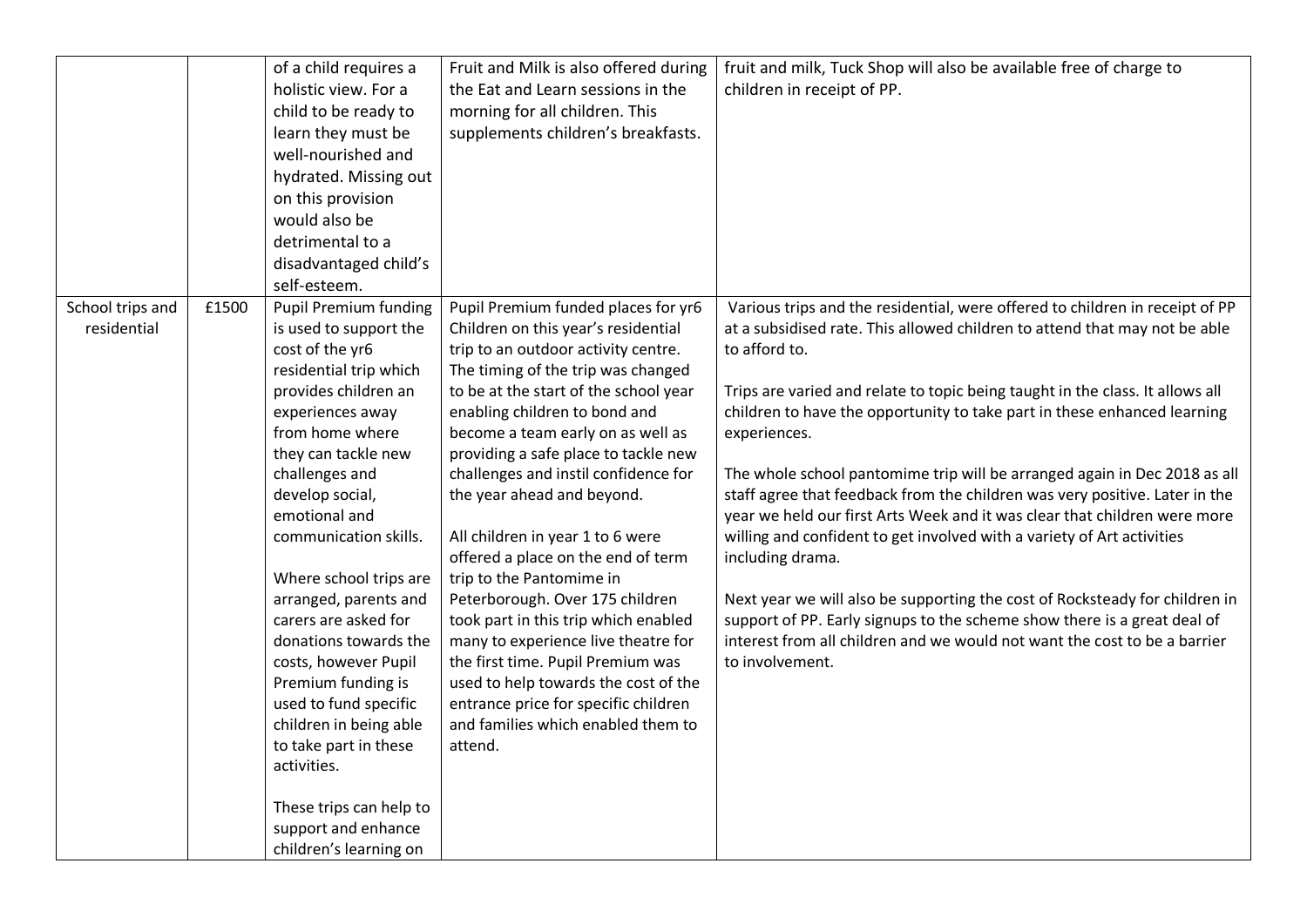|                  |       | of a child requires a        | Fruit and Milk is also offered during | fruit and milk, Tuck Shop will also be available free of charge to            |
|------------------|-------|------------------------------|---------------------------------------|-------------------------------------------------------------------------------|
|                  |       | holistic view. For a         | the Eat and Learn sessions in the     | children in receipt of PP.                                                    |
|                  |       | child to be ready to         | morning for all children. This        |                                                                               |
|                  |       | learn they must be           | supplements children's breakfasts.    |                                                                               |
|                  |       | well-nourished and           |                                       |                                                                               |
|                  |       | hydrated. Missing out        |                                       |                                                                               |
|                  |       | on this provision            |                                       |                                                                               |
|                  |       | would also be                |                                       |                                                                               |
|                  |       | detrimental to a             |                                       |                                                                               |
|                  |       | disadvantaged child's        |                                       |                                                                               |
|                  |       | self-esteem.                 |                                       |                                                                               |
| School trips and | £1500 | <b>Pupil Premium funding</b> | Pupil Premium funded places for yr6   | Various trips and the residential, were offered to children in receipt of PP  |
| residential      |       | is used to support the       | Children on this year's residential   | at a subsidised rate. This allowed children to attend that may not be able    |
|                  |       | cost of the yr6              | trip to an outdoor activity centre.   | to afford to.                                                                 |
|                  |       | residential trip which       | The timing of the trip was changed    |                                                                               |
|                  |       | provides children an         | to be at the start of the school year | Trips are varied and relate to topic being taught in the class. It allows all |
|                  |       | experiences away             | enabling children to bond and         | children to have the opportunity to take part in these enhanced learning      |
|                  |       | from home where              | become a team early on as well as     | experiences.                                                                  |
|                  |       | they can tackle new          | providing a safe place to tackle new  |                                                                               |
|                  |       | challenges and               | challenges and instil confidence for  | The whole school pantomime trip will be arranged again in Dec 2018 as all     |
|                  |       | develop social,              | the year ahead and beyond.            | staff agree that feedback from the children was very positive. Later in the   |
|                  |       | emotional and                |                                       | year we held our first Arts Week and it was clear that children were more     |
|                  |       | communication skills.        | All children in year 1 to 6 were      | willing and confident to get involved with a variety of Art activities        |
|                  |       |                              | offered a place on the end of term    | including drama.                                                              |
|                  |       | Where school trips are       | trip to the Pantomime in              |                                                                               |
|                  |       | arranged, parents and        | Peterborough. Over 175 children       | Next year we will also be supporting the cost of Rocksteady for children in   |
|                  |       | carers are asked for         | took part in this trip which enabled  | support of PP. Early signups to the scheme show there is a great deal of      |
|                  |       | donations towards the        | many to experience live theatre for   | interest from all children and we would not want the cost to be a barrier     |
|                  |       | costs, however Pupil         | the first time. Pupil Premium was     | to involvement.                                                               |
|                  |       | Premium funding is           | used to help towards the cost of the  |                                                                               |
|                  |       | used to fund specific        | entrance price for specific children  |                                                                               |
|                  |       | children in being able       | and families which enabled them to    |                                                                               |
|                  |       | to take part in these        | attend.                               |                                                                               |
|                  |       | activities.                  |                                       |                                                                               |
|                  |       |                              |                                       |                                                                               |
|                  |       | These trips can help to      |                                       |                                                                               |
|                  |       | support and enhance          |                                       |                                                                               |
|                  |       | children's learning on       |                                       |                                                                               |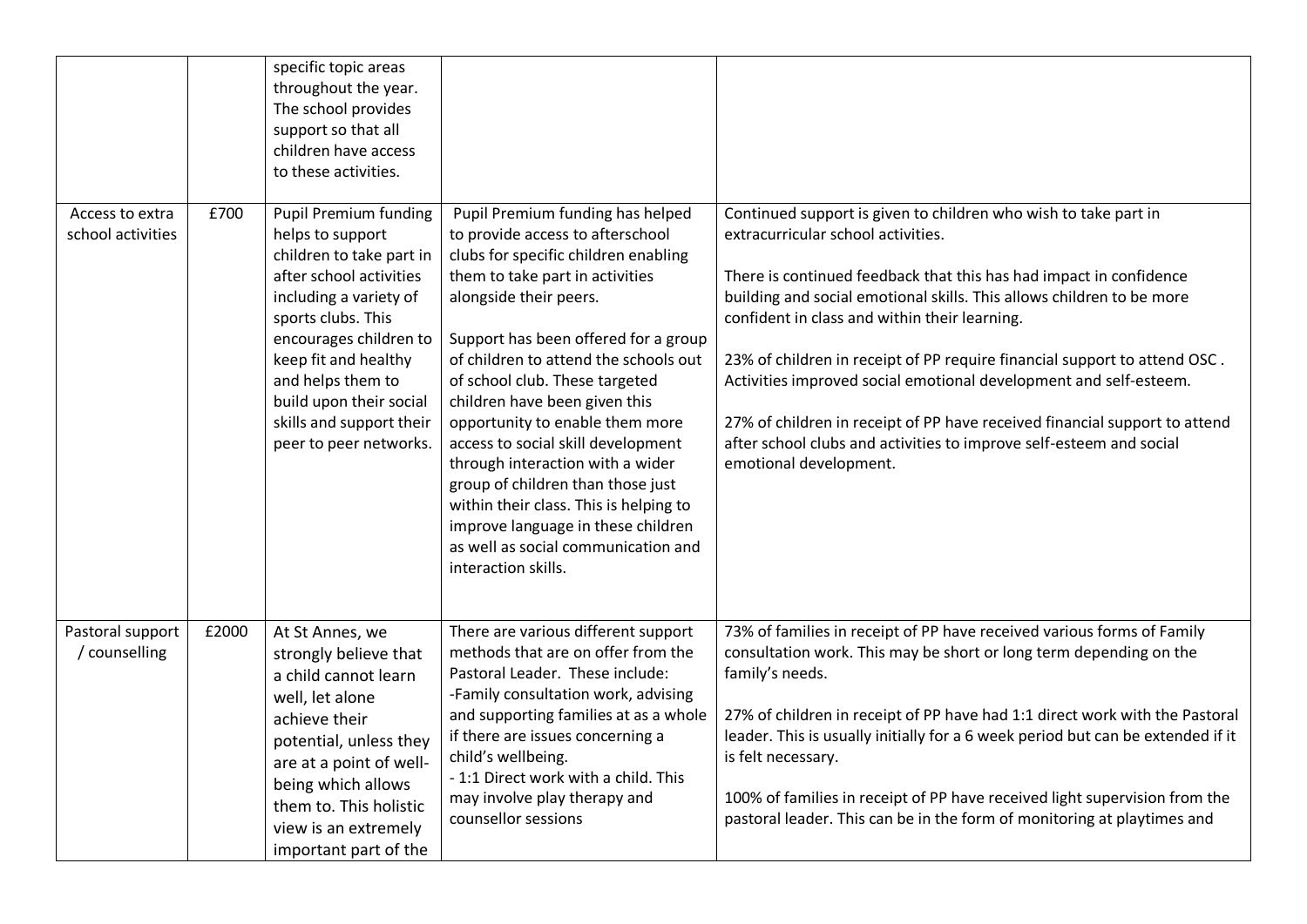|                                      |       | specific topic areas<br>throughout the year.<br>The school provides<br>support so that all<br>children have access<br>to these activities.                                                                                                                                                                      |                                                                                                                                                                                                                                                                                                                                                                                                                                                                                                                                                                                                                               |                                                                                                                                                                                                                                                                                                                                                                                                                                                                                                                                                                                                                                        |
|--------------------------------------|-------|-----------------------------------------------------------------------------------------------------------------------------------------------------------------------------------------------------------------------------------------------------------------------------------------------------------------|-------------------------------------------------------------------------------------------------------------------------------------------------------------------------------------------------------------------------------------------------------------------------------------------------------------------------------------------------------------------------------------------------------------------------------------------------------------------------------------------------------------------------------------------------------------------------------------------------------------------------------|----------------------------------------------------------------------------------------------------------------------------------------------------------------------------------------------------------------------------------------------------------------------------------------------------------------------------------------------------------------------------------------------------------------------------------------------------------------------------------------------------------------------------------------------------------------------------------------------------------------------------------------|
| Access to extra<br>school activities | £700  | <b>Pupil Premium funding</b><br>helps to support<br>children to take part in<br>after school activities<br>including a variety of<br>sports clubs. This<br>encourages children to<br>keep fit and healthy<br>and helps them to<br>build upon their social<br>skills and support their<br>peer to peer networks. | Pupil Premium funding has helped<br>to provide access to afterschool<br>clubs for specific children enabling<br>them to take part in activities<br>alongside their peers.<br>Support has been offered for a group<br>of children to attend the schools out<br>of school club. These targeted<br>children have been given this<br>opportunity to enable them more<br>access to social skill development<br>through interaction with a wider<br>group of children than those just<br>within their class. This is helping to<br>improve language in these children<br>as well as social communication and<br>interaction skills. | Continued support is given to children who wish to take part in<br>extracurricular school activities.<br>There is continued feedback that this has had impact in confidence<br>building and social emotional skills. This allows children to be more<br>confident in class and within their learning.<br>23% of children in receipt of PP require financial support to attend OSC.<br>Activities improved social emotional development and self-esteem.<br>27% of children in receipt of PP have received financial support to attend<br>after school clubs and activities to improve self-esteem and social<br>emotional development. |
| Pastoral support<br>/ counselling    | £2000 | At St Annes, we<br>strongly believe that<br>a child cannot learn<br>well, let alone<br>achieve their<br>potential, unless they<br>are at a point of well-<br>being which allows<br>them to. This holistic<br>view is an extremely<br>important part of the                                                      | There are various different support<br>methods that are on offer from the<br>Pastoral Leader. These include:<br>-Family consultation work, advising<br>and supporting families at as a whole<br>if there are issues concerning a<br>child's wellbeing.<br>- 1:1 Direct work with a child. This<br>may involve play therapy and<br>counsellor sessions                                                                                                                                                                                                                                                                         | 73% of families in receipt of PP have received various forms of Family<br>consultation work. This may be short or long term depending on the<br>family's needs.<br>27% of children in receipt of PP have had 1:1 direct work with the Pastoral<br>leader. This is usually initially for a 6 week period but can be extended if it<br>is felt necessary.<br>100% of families in receipt of PP have received light supervision from the<br>pastoral leader. This can be in the form of monitoring at playtimes and                                                                                                                       |